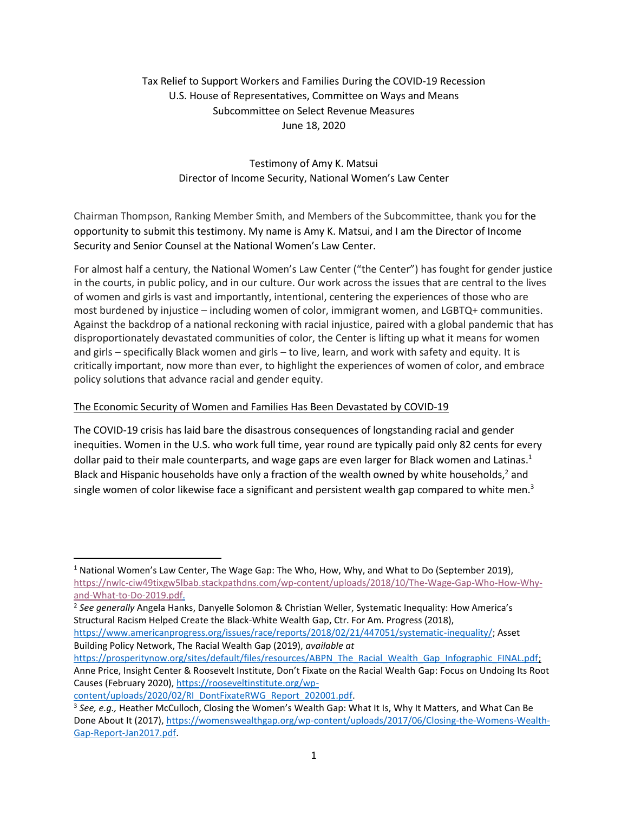# Tax Relief to Support Workers and Families During the COVID-19 Recession U.S. House of Representatives, Committee on Ways and Means Subcommittee on Select Revenue Measures June 18, 2020

# Testimony of Amy K. Matsui Director of Income Security, National Women's Law Center

Chairman Thompson, Ranking Member Smith, and Members of the Subcommittee, thank you for the opportunity to submit this testimony. My name is Amy K. Matsui, and I am the Director of Income Security and Senior Counsel at the National Women's Law Center.

For almost half a century, the National Women's Law Center ("the Center") has fought for gender justice in the courts, in public policy, and in our culture. Our work across the issues that are central to the lives of women and girls is vast and importantly, intentional, centering the experiences of those who are most burdened by injustice – including women of color, immigrant women, and LGBTQ+ communities. Against the backdrop of a national reckoning with racial injustice, paired with a global pandemic that has disproportionately devastated communities of color, the Center is lifting up what it means for women and girls – specifically Black women and girls – to live, learn, and work with safety and equity. It is critically important, now more than ever, to highlight the experiences of women of color, and embrace policy solutions that advance racial and gender equity.

### The Economic Security of Women and Families Has Been Devastated by COVID-19

The COVID-19 crisis has laid bare the disastrous consequences of longstanding racial and gender inequities. Women in the U.S. who work full time, year round are typically paid only 82 cents for every dollar paid to their male counterparts, and wage gaps are even larger for Black women and Latinas.<sup>1</sup> Black and Hispanic households have only a fraction of the wealth owned by white households,<sup>2</sup> and single women of color likewise face a significant and persistent wealth gap compared to white men. $3$ 

[https://www.americanprogress.org/issues/race/reports/2018/02/21/447051/systematic-inequality/;](https://www.americanprogress.org/issues/race/reports/2018/02/21/447051/systematic-inequality/) Asset Building Policy Network, The Racial Wealth Gap (2019), *available at*

<sup>&</sup>lt;sup>1</sup> National Women's Law Center, The Wage Gap: The Who, How, Why, and What to Do (September 2019), [https://nwlc-ciw49tixgw5lbab.stackpathdns.com/wp-content/uploads/2018/10/The-Wage-Gap-Who-How-Why](https://nwlc-ciw49tixgw5lbab.stackpathdns.com/wp-content/uploads/2018/10/The-Wage-Gap-Who-How-Why-and-What-to-Do-2019.pdf)[and-What-to-Do-2019.pdf.](https://nwlc-ciw49tixgw5lbab.stackpathdns.com/wp-content/uploads/2018/10/The-Wage-Gap-Who-How-Why-and-What-to-Do-2019.pdf)

<sup>2</sup> *See generally* Angela Hanks, Danyelle Solomon & Christian Weller, Systematic Inequality: How America's Structural Racism Helped Create the Black-White Wealth Gap, Ctr. For Am. Progress (2018),

[https://prosperitynow.org/sites/default/files/resources/ABPN\\_The\\_Racial\\_Wealth\\_Gap\\_Infographic\\_FINAL.pdf;](https://prosperitynow.org/sites/default/files/resources/ABPN_The_Racial_Wealth_Gap_Infographic_FINAL.pdf) Anne Price, Insight Center & Roosevelt Institute, Don't Fixate on the Racial Wealth Gap: Focus on Undoing Its Root Causes (February 2020), [https://rooseveltinstitute.org/wp-](https://rooseveltinstitute.org/wp-content/uploads/2020/02/RI_DontFixateRWG_Report_202001.pdf)

[content/uploads/2020/02/RI\\_DontFixateRWG\\_Report\\_202001.pdf.](https://rooseveltinstitute.org/wp-content/uploads/2020/02/RI_DontFixateRWG_Report_202001.pdf)

<sup>3</sup> *See, e.g.,* Heather McCulloch, Closing the Women's Wealth Gap: What It Is, Why It Matters, and What Can Be Done About It (2017), [https://womenswealthgap.org/wp-content/uploads/2017/06/Closing-the-Womens-Wealth-](https://womenswealthgap.org/wp-content/uploads/2017/06/Closing-the-Womens-Wealth-Gap-Report-Jan2017.pdf)[Gap-Report-Jan2017.pdf.](https://womenswealthgap.org/wp-content/uploads/2017/06/Closing-the-Womens-Wealth-Gap-Report-Jan2017.pdf)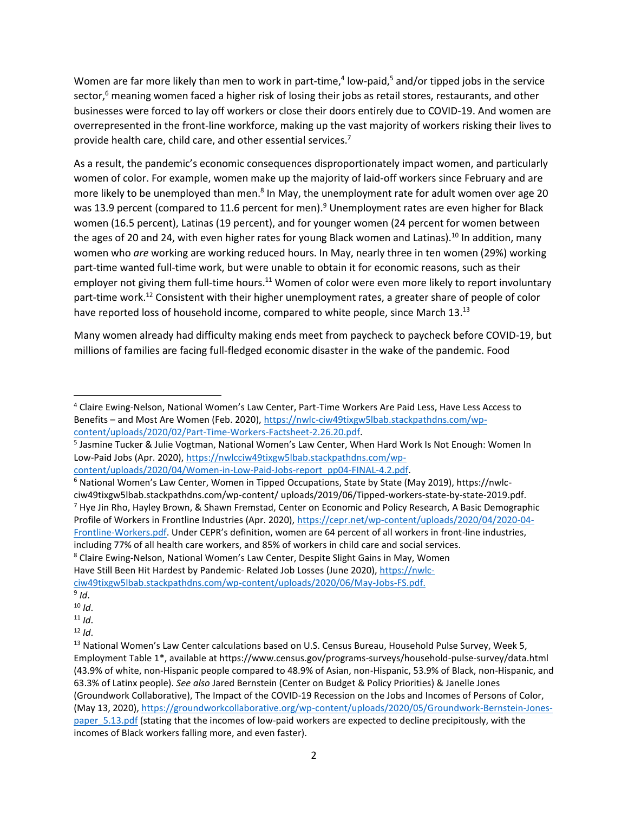Women are far more likely than men to work in part-time,<sup>4</sup> low-paid,<sup>5</sup> and/or tipped jobs in the service sector,<sup>6</sup> meaning women faced a higher risk of losing their jobs as retail stores, restaurants, and other businesses were forced to lay off workers or close their doors entirely due to COVID-19. And women are overrepresented in the front-line workforce, making up the vast majority of workers risking their lives to provide health care, child care, and other essential services.<sup>7</sup>

As a result, the pandemic's economic consequences disproportionately impact women, and particularly women of color. For example, women make up the majority of laid-off workers since February and are more likely to be unemployed than men.<sup>8</sup> In May, the unemployment rate for adult women over age 20 was 13.9 percent (compared to 11.6 percent for men).<sup>9</sup> Unemployment rates are even higher for Black women (16.5 percent), Latinas (19 percent), and for younger women (24 percent for women between the ages of 20 and 24, with even higher rates for young Black women and Latinas).<sup>10</sup> In addition, many women who *are* working are working reduced hours. In May, nearly three in ten women (29%) working part-time wanted full-time work, but were unable to obtain it for economic reasons, such as their employer not giving them full-time hours.<sup>11</sup> Women of color were even more likely to report involuntary part-time work.<sup>12</sup> Consistent with their higher unemployment rates, a greater share of people of color have reported loss of household income, compared to white people, since March 13.<sup>13</sup>

Many women already had difficulty making ends meet from paycheck to paycheck before COVID-19, but millions of families are facing full-fledged economic disaster in the wake of the pandemic. Food

[content/uploads/2020/04/Women-in-Low-Paid-Jobs-report\\_pp04-FINAL-4.2.pdf.](https://nwlcciw49tixgw5lbab.stackpathdns.com/wp-content/uploads/2020/04/Women-in-Low-Paid-Jobs-report_pp04-FINAL-4.2.pdf)

<sup>6</sup> National Women's Law Center, Women in Tipped Occupations, State by State (May 2019), https://nwlcciw49tixgw5lbab.stackpathdns.com/wp-content/ uploads/2019/06/Tipped-workers-state-by-state-2019.pdf. <sup>7</sup> Hye Jin Rho, Hayley Brown, & Shawn Fremstad, Center on Economic and Policy Research, A Basic Demographic Profile of Workers in Frontline Industries (Apr. 2020), [https://cepr.net/wp-content/uploads/2020/04/2020-04-](https://cepr.net/wp-content/uploads/2020/04/2020-04-Frontline-Workers.pdf) [Frontline-Workers.pdf.](https://cepr.net/wp-content/uploads/2020/04/2020-04-Frontline-Workers.pdf) Under CEPR's definition, women are 64 percent of all workers in front-line industries, including 77% of all health care workers, and 85% of workers in child care and social services. <sup>8</sup> Claire Ewing-Nelson, National Women's Law Center, Despite Slight Gains in May, Women

Have Still Been Hit Hardest by Pandemic- Related Job Losses (June 2020), [https://nwlc](https://nwlc-ciw49tixgw5lbab.stackpathdns.com/wp-content/uploads/2020/06/May-Jobs-FS.pdf)[ciw49tixgw5lbab.stackpathdns.com/wp-content/uploads/2020/06/May-Jobs-FS.pdf.](https://nwlc-ciw49tixgw5lbab.stackpathdns.com/wp-content/uploads/2020/06/May-Jobs-FS.pdf)

<sup>4</sup> Claire Ewing-Nelson, National Women's Law Center, Part-Time Workers Are Paid Less, Have Less Access to Benefits – and Most Are Women (Feb. 2020), [https://nwlc-ciw49tixgw5lbab.stackpathdns.com/wp](https://nwlc-ciw49tixgw5lbab.stackpathdns.com/wp-content/uploads/2020/02/Part-Time-Workers-Factsheet-2.26.20.pdf)[content/uploads/2020/02/Part-Time-Workers-Factsheet-2.26.20.pdf.](https://nwlc-ciw49tixgw5lbab.stackpathdns.com/wp-content/uploads/2020/02/Part-Time-Workers-Factsheet-2.26.20.pdf)

<sup>5</sup> Jasmine Tucker & Julie Vogtman, National Women's Law Center, When Hard Work Is Not Enough: Women In Low-Paid Jobs (Apr. 2020), [https://nwlcciw49tixgw5lbab.stackpathdns.com/wp-](https://nwlcciw49tixgw5lbab.stackpathdns.com/wp-content/uploads/2020/04/Women-in-Low-Paid-Jobs-report_pp04-FINAL-4.2.pdf)

<sup>9</sup> *Id*.

<sup>10</sup> *Id*.

 $11$  *Id.* 

 $12$  *Id.* 

<sup>&</sup>lt;sup>13</sup> National Women's Law Center calculations based on U.S. Census Bureau, Household Pulse Survey, Week 5, Employment Table 1\*, available at https://www.census.gov/programs-surveys/household-pulse-survey/data.html (43.9% of white, non-Hispanic people compared to 48.9% of Asian, non-Hispanic, 53.9% of Black, non-Hispanic, and 63.3% of Latinx people). *See also* Jared Bernstein (Center on Budget & Policy Priorities) & Janelle Jones (Groundwork Collaborative), The Impact of the COVID-19 Recession on the Jobs and Incomes of Persons of Color, (May 13, 2020), [https://groundworkcollaborative.org/wp-content/uploads/2020/05/Groundwork-Bernstein-Jones](https://groundworkcollaborative.org/wp-content/uploads/2020/05/Groundwork-Bernstein-Jones-paper_5.13.pdf)paper 5.13.pdf (stating that the incomes of low-paid workers are expected to decline precipitously, with the incomes of Black workers falling more, and even faster).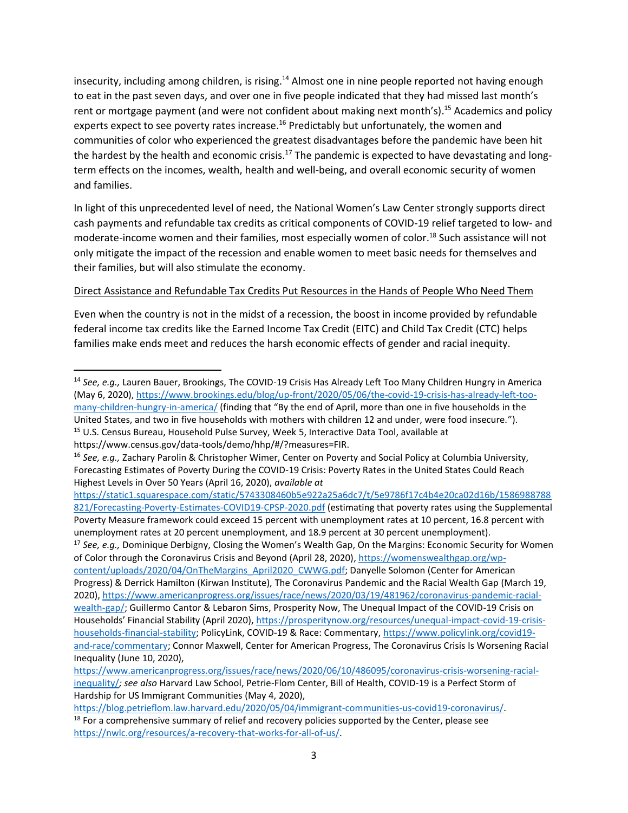insecurity, including among children, is rising.<sup>14</sup> Almost one in nine people reported not having enough to eat in the past seven days, and over one in five people indicated that they had missed last month's rent or mortgage payment (and were not confident about making next month's).<sup>15</sup> Academics and policy experts expect to see poverty rates increase.<sup>16</sup> Predictably but unfortunately, the women and communities of color who experienced the greatest disadvantages before the pandemic have been hit the hardest by the health and economic crisis.<sup>17</sup> The pandemic is expected to have devastating and longterm effects on the incomes, wealth, health and well-being, and overall economic security of women and families.

In light of this unprecedented level of need, the National Women's Law Center strongly supports direct cash payments and refundable tax credits as critical components of COVID-19 relief targeted to low- and moderate-income women and their families, most especially women of color. <sup>18</sup> Such assistance will not only mitigate the impact of the recession and enable women to meet basic needs for themselves and their families, but will also stimulate the economy.

# Direct Assistance and Refundable Tax Credits Put Resources in the Hands of People Who Need Them

Even when the country is not in the midst of a recession, the boost in income provided by refundable federal income tax credits like the Earned Income Tax Credit (EITC) and Child Tax Credit (CTC) helps families make ends meet and reduces the harsh economic effects of gender and racial inequity.

[https://static1.squarespace.com/static/5743308460b5e922a25a6dc7/t/5e9786f17c4b4e20ca02d16b/1586988788](https://static1.squarespace.com/static/5743308460b5e922a25a6dc7/t/5e9786f17c4b4e20ca02d16b/1586988788821/Forecasting-Poverty-Estimates-COVID19-CPSP-2020.pdf) [821/Forecasting-Poverty-Estimates-COVID19-CPSP-2020.pdf](https://static1.squarespace.com/static/5743308460b5e922a25a6dc7/t/5e9786f17c4b4e20ca02d16b/1586988788821/Forecasting-Poverty-Estimates-COVID19-CPSP-2020.pdf) (estimating that poverty rates using the Supplemental Poverty Measure framework could exceed 15 percent with unemployment rates at 10 percent, 16.8 percent with unemployment rates at 20 percent unemployment, and 18.9 percent at 30 percent unemployment).

<sup>17</sup> *See, e.g.,* Dominique Derbigny, Closing the Women's Wealth Gap, On the Margins: Economic Security for Women of Color through the Coronavirus Crisis and Beyond (April 28, 2020)[, https://womenswealthgap.org/wp](https://womenswealthgap.org/wp-content/uploads/2020/04/OnTheMargins_April2020_CWWG.pdf)[content/uploads/2020/04/OnTheMargins\\_April2020\\_CWWG.pdf;](https://womenswealthgap.org/wp-content/uploads/2020/04/OnTheMargins_April2020_CWWG.pdf) Danyelle Solomon (Center for American Progress) & Derrick Hamilton (Kirwan Institute), The Coronavirus Pandemic and the Racial Wealth Gap (March 19, 2020), [https://www.americanprogress.org/issues/race/news/2020/03/19/481962/coronavirus-pandemic-racial](https://www.americanprogress.org/issues/race/news/2020/03/19/481962/coronavirus-pandemic-racial-wealth-gap/)[wealth-gap/;](https://www.americanprogress.org/issues/race/news/2020/03/19/481962/coronavirus-pandemic-racial-wealth-gap/) Guillermo Cantor & Lebaron Sims, Prosperity Now, The Unequal Impact of the COVID-19 Crisis on Households' Financial Stability (April 2020), [https://prosperitynow.org/resources/unequal-impact-covid-19-crisis](https://prosperitynow.org/resources/unequal-impact-covid-19-crisis-households-financial-stability)[households-financial-stability;](https://prosperitynow.org/resources/unequal-impact-covid-19-crisis-households-financial-stability) [PolicyLink,](https://prosperitynow.org/resources/unequal-impact-covid-19-crisis-households-financial-stability.PolicyLink) COVID-19 & Race: Commentary, [https://www.policylink.org/covid19](https://www.policylink.org/covid19-and-race/commentary) [and-race/commentary;](https://www.policylink.org/covid19-and-race/commentary) Connor Maxwell, Center for American Progress, The Coronavirus Crisis Is Worsening Racial Inequality (June 10, 2020),

<sup>14</sup> *See, e.g.,* Lauren Bauer, Brookings, The COVID-19 Crisis Has Already Left Too Many Children Hungry in America (May 6, 2020), [https://www.brookings.edu/blog/up-front/2020/05/06/the-covid-19-crisis-has-already-left-too](https://www.brookings.edu/blog/up-front/2020/05/06/the-covid-19-crisis-has-already-left-too-many-children-hungry-in-america/)[many-children-hungry-in-america/](https://www.brookings.edu/blog/up-front/2020/05/06/the-covid-19-crisis-has-already-left-too-many-children-hungry-in-america/) (finding that "By the end of April, more than one in five households in the United States, and two in five households with mothers with children 12 and under, were food insecure.").

<sup>&</sup>lt;sup>15</sup> U.S. Census Bureau, Household Pulse Survey, Week 5, Interactive Data Tool, available at https://www.census.gov/data-tools/demo/hhp/#/?measures=FIR.

<sup>16</sup> *See, e.g.,* Zachary Parolin & Christopher Wimer, Center on Poverty and Social Policy at Columbia University, Forecasting Estimates of Poverty During the COVID-19 Crisis: Poverty Rates in the United States Could Reach Highest Levels in Over 50 Years (April 16, 2020), *available at*

[https://www.americanprogress.org/issues/race/news/2020/06/10/486095/coronavirus-crisis-worsening-racial](https://www.americanprogress.org/issues/race/news/2020/06/10/486095/coronavirus-crisis-worsening-racial-inequality/)[inequality/](https://www.americanprogress.org/issues/race/news/2020/06/10/486095/coronavirus-crisis-worsening-racial-inequality/)*; see also* Harvard Law School, Petrie-Flom Center, Bill of Health, COVID-19 is a Perfect Storm of Hardship for US Immigrant Communities (May 4, 2020),

[https://blog.petrieflom.law.harvard.edu/2020/05/04/immigrant-communities-us-covid19-coronavirus/.](https://blog.petrieflom.law.harvard.edu/2020/05/04/immigrant-communities-us-covid19-coronavirus/)  $18$  For a comprehensive summary of relief and recovery policies supported by the Center, please see [https://nwlc.org/resources/a-recovery-that-works-for-all-of-us/.](https://nwlc.org/resources/a-recovery-that-works-for-all-of-us/)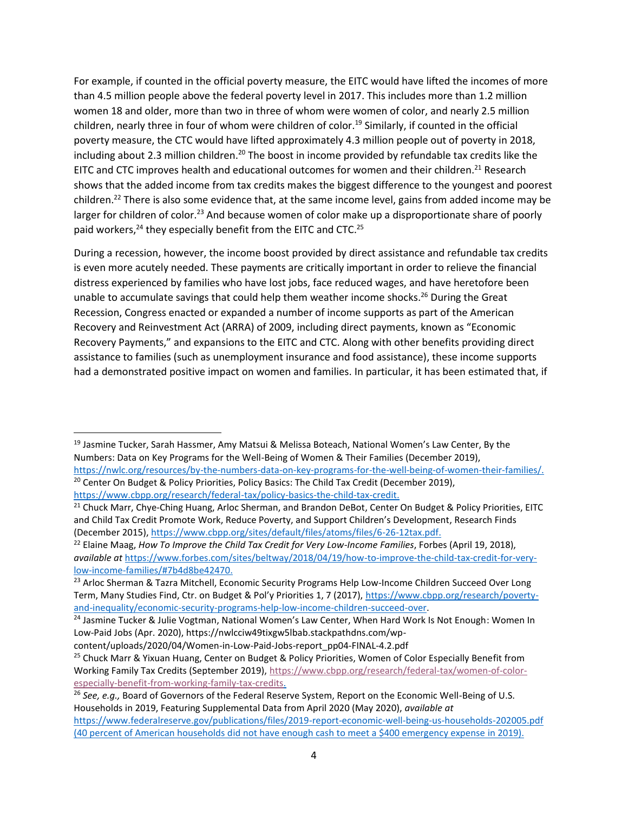For example, if counted in the official poverty measure, the EITC would have lifted the incomes of more than 4.5 million people above the federal poverty level in 2017. This includes more than 1.2 million women 18 and older, more than two in three of whom were women of color, and nearly 2.5 million children, nearly three in four of whom were children of color.<sup>19</sup> Similarly, if counted in the official poverty measure, the CTC would have lifted approximately 4.3 million people out of poverty in 2018, including about 2.3 million children.<sup>20</sup> The boost in income provided by refundable tax credits like the EITC and CTC improves health and educational outcomes for women and their children.<sup>21</sup> Research shows that the added income from tax credits makes the biggest difference to the youngest and poorest children.<sup>22</sup> There is also some evidence that, at the same income level, gains from added income may be larger for children of color.<sup>23</sup> And because women of color make up a disproportionate share of poorly paid workers,<sup>24</sup> they especially benefit from the EITC and CTC.<sup>25</sup>

During a recession, however, the income boost provided by direct assistance and refundable tax credits is even more acutely needed. These payments are critically important in order to relieve the financial distress experienced by families who have lost jobs, face reduced wages, and have heretofore been unable to accumulate savings that could help them weather income shocks.<sup>26</sup> During the Great Recession, Congress enacted or expanded a number of income supports as part of the American Recovery and Reinvestment Act (ARRA) of 2009, including direct payments, known as "Economic Recovery Payments," and expansions to the EITC and CTC. Along with other benefits providing direct assistance to families (such as unemployment insurance and food assistance), these income supports had a demonstrated positive impact on women and families. In particular, it has been estimated that, if

<sup>&</sup>lt;sup>19</sup> Jasmine Tucker, Sarah Hassmer, Amy Matsui & Melissa Boteach, National Women's Law Center, By the Numbers: Data on Key Programs for the Well-Being of Women & Their Families (December 2019), [https://nwlc.org/resources/by-the-numbers-data-on-key-programs-for-the-well-being-of-women-their-families/.](https://nwlc.org/resources/by-the-numbers-data-on-key-programs-for-the-well-being-of-women-their-families/)

<sup>&</sup>lt;sup>20</sup> Center On Budget & Policy Priorities, Policy Basics: The Child Tax Credit (December 2019), [https://www.cbpp.org/research/federal-tax/policy-basics-the-child-tax-credit.](https://www.cbpp.org/research/federal-tax/policy-basics-the-child-tax-credit)

<sup>&</sup>lt;sup>21</sup> Chuck Marr, Chye-Ching Huang, Arloc Sherman, and Brandon DeBot, Center On Budget & Policy Priorities, EITC and Child Tax Credit Promote Work, Reduce Poverty, and Support Children's Development, Research Finds (December 2015)[, https://www.cbpp.org/sites/default/files/atoms/files/6-26-12tax.pdf.](https://www.cbpp.org/sites/default/files/atoms/files/6-26-12tax.pdf)

<sup>22</sup> Elaine Maag, *How To Improve the Child Tax Credit for Very Low-Income Families*, Forbes (April 19, 2018), *available at* [https://www.forbes.com/sites/beltway/2018/04/19/how-to-improve-the-child-tax-credit-for-very](https://www.forbes.com/sites/beltway/2018/04/19/how-to-improve-the-child-tax-credit-for-very-low-income-families/#7b4d8be42470)[low-income-families/#7b4d8be42470.](https://www.forbes.com/sites/beltway/2018/04/19/how-to-improve-the-child-tax-credit-for-very-low-income-families/#7b4d8be42470)

<sup>&</sup>lt;sup>23</sup> Arloc Sherman & Tazra Mitchell, Economic Security Programs Help Low-Income Children Succeed Over Long Term, Many Studies Find, Ctr. on Budget & Pol'y Priorities 1, 7 (2017), [https://www.cbpp.org/research/poverty](https://www.cbpp.org/research/poverty-and-inequality/economic-security-programs-help-low-income-children-succeed-over)[and-inequality/economic-security-programs-help-low-income-children-succeed-over.](https://www.cbpp.org/research/poverty-and-inequality/economic-security-programs-help-low-income-children-succeed-over)

<sup>&</sup>lt;sup>24</sup> Jasmine Tucker & Julie Vogtman, National Women's Law Center, When Hard Work Is Not Enough: Women In Low-Paid Jobs (Apr. 2020), https://nwlcciw49tixgw5lbab.stackpathdns.com/wp-

content/uploads/2020/04/Women-in-Low-Paid-Jobs-report\_pp04-FINAL-4.2.pdf

<sup>&</sup>lt;sup>25</sup> Chuck Marr & Yixuan Huang, Center on Budget & Policy Priorities, Women of Color Especially Benefit from Working Family Tax Credits (September 2019), [https://www.cbpp.org/research/federal-tax/women-of-color](https://www.cbpp.org/research/federal-tax/women-of-color-especially-benefit-from-working-family-tax-credits)[especially-benefit-from-working-family-tax-credits.](https://www.cbpp.org/research/federal-tax/women-of-color-especially-benefit-from-working-family-tax-credits)

<sup>26</sup> *See, e.g.,* Board of Governors of the Federal Reserve System, Report on the Economic Well-Being of U.S. Households in 2019, Featuring Supplemental Data from April 2020 (May 2020), *available at* <https://www.federalreserve.gov/publications/files/2019-report-economic-well-being-us-households-202005.pdf> (40 percent of American households did not have enough cash to meet a \$400 emergency expense in 2019).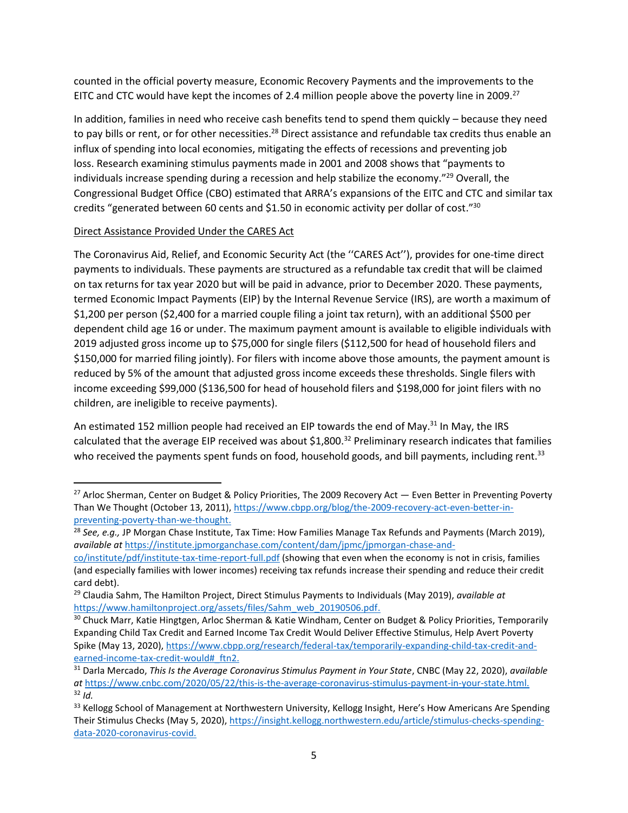counted in the official poverty measure, Economic Recovery Payments and the improvements to the EITC and CTC would have kept the incomes of 2.4 million people above the poverty line in 2009.<sup>27</sup>

In addition, families in need who receive cash benefits tend to spend them quickly – because they need to pay bills or rent, or for other necessities.<sup>28</sup> Direct assistance and refundable tax credits thus enable an influx of spending into local economies, mitigating the effects of recessions and preventing job loss. Research examining stimulus payments made in 2001 and 2008 shows that "payments to individuals increase spending during a recession and help stabilize the economy."<sup>29</sup> Overall, the Congressional Budget Office (CBO) estimated that ARRA's expansions of the EITC and CTC and similar tax credits "generated between 60 cents and \$1.50 in economic activity per dollar of cost."<sup>30</sup>

## Direct Assistance Provided Under the CARES Act

The Coronavirus Aid, Relief, and Economic Security Act (the ''CARES Act''), provides for one-time direct payments to individuals. These payments are structured as a refundable tax credit that will be claimed on tax returns for tax year 2020 but will be paid in advance, prior to December 2020. These payments, termed Economic Impact Payments (EIP) by the Internal Revenue Service (IRS), are worth a maximum of \$1,200 per person (\$2,400 for a married couple filing a joint tax return), with an additional \$500 per dependent child age 16 or under. The maximum payment amount is available to eligible individuals with 2019 adjusted gross income up to \$75,000 for single filers (\$112,500 for head of household filers and \$150,000 for married filing jointly). For filers with income above those amounts, the payment amount is reduced by 5% of the amount that adjusted gross income exceeds these thresholds. Single filers with income exceeding \$99,000 (\$136,500 for head of household filers and \$198,000 for joint filers with no children, are ineligible to receive payments).

An estimated 152 million people had received an EIP towards the end of May.<sup>31</sup> In May, the IRS calculated that the average EIP received was about \$1,800.<sup>32</sup> Preliminary research indicates that families who received the payments spent funds on food, household goods, and bill payments, including rent.<sup>33</sup>

<sup>&</sup>lt;sup>27</sup> Arloc Sherman, Center on Budget & Policy Priorities, The 2009 Recovery Act — Even Better in Preventing Poverty Than We Thought (October 13, 2011), [https://www.cbpp.org/blog/the-2009-recovery-act-even-better-in](https://www.cbpp.org/blog/the-2009-recovery-act-even-better-in-preventing-poverty-than-we-thought)[preventing-poverty-than-we-thought.](https://www.cbpp.org/blog/the-2009-recovery-act-even-better-in-preventing-poverty-than-we-thought)

<sup>28</sup> *See, e.g.,* JP Morgan Chase Institute, Tax Time: How Families Manage Tax Refunds and Payments (March 2019), *available at* [https://institute.jpmorganchase.com/content/dam/jpmc/jpmorgan-chase-and-](https://institute.jpmorganchase.com/content/dam/jpmc/jpmorgan-chase-and-co/institute/pdf/institute-tax-time-report-full.pdf)

[co/institute/pdf/institute-tax-time-report-full.pdf](https://institute.jpmorganchase.com/content/dam/jpmc/jpmorgan-chase-and-co/institute/pdf/institute-tax-time-report-full.pdf) (showing that even when the economy is not in crisis, families (and especially families with lower incomes) receiving tax refunds increase their spending and reduce their credit card debt).

<sup>29</sup> Claudia Sahm, The Hamilton Project, Direct Stimulus Payments to Individuals (May 2019), *available at* [https://www.hamiltonproject.org/assets/files/Sahm\\_web\\_20190506.pdf.](https://www.hamiltonproject.org/assets/files/Sahm_web_20190506.pdf)

<sup>&</sup>lt;sup>30</sup> Chuck Marr, Katie Hingtgen, Arloc Sherman & Katie Windham, Center on Budget & Policy Priorities, Temporarily Expanding Child Tax Credit and Earned Income Tax Credit Would Deliver Effective Stimulus, Help Avert Poverty Spike (May 13, 2020), [https://www.cbpp.org/research/federal-tax/temporarily-expanding-child-tax-credit-and](https://www.cbpp.org/research/federal-tax/temporarily-expanding-child-tax-credit-and-earned-income-tax-credit-would#_ftn2)[earned-income-tax-credit-would#\\_ftn2.](https://www.cbpp.org/research/federal-tax/temporarily-expanding-child-tax-credit-and-earned-income-tax-credit-would#_ftn2)

<sup>31</sup> Darla Mercado, *This Is the Average Coronavirus Stimulus Payment in Your State*, CNBC (May 22, 2020), *available at* [https://www.cnbc.com/2020/05/22/this-is-the-average-coronavirus-stimulus-payment-in-your-state.html.](https://www.cnbc.com/2020/05/22/this-is-the-average-coronavirus-stimulus-payment-in-your-state.html)  $32$  *Id.* 

<sup>&</sup>lt;sup>33</sup> Kellogg School of Management at Northwestern University, Kellogg Insight, Here's How Americans Are Spending Their Stimulus Checks (May 5, 2020), [https://insight.kellogg.northwestern.edu/article/stimulus-checks-spending](https://insight.kellogg.northwestern.edu/article/stimulus-checks-spending-data-2020-coronavirus-covid)[data-2020-coronavirus-covid.](https://insight.kellogg.northwestern.edu/article/stimulus-checks-spending-data-2020-coronavirus-covid)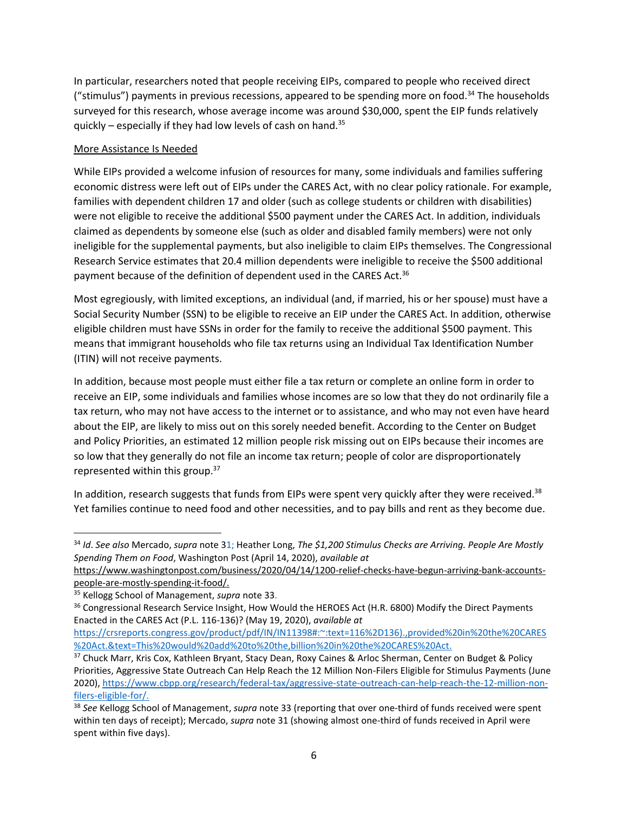In particular, researchers noted that people receiving EIPs, compared to people who received direct ("stimulus") payments in previous recessions, appeared to be spending more on food.<sup>34</sup> The households surveyed for this research, whose average income was around \$30,000, spent the EIP funds relatively quickly – especially if they had low levels of cash on hand. $35$ 

# More Assistance Is Needed

While EIPs provided a welcome infusion of resources for many, some individuals and families suffering economic distress were left out of EIPs under the CARES Act, with no clear policy rationale. For example, families with dependent children 17 and older (such as college students or children with disabilities) were not eligible to receive the additional \$500 payment under the CARES Act. In addition, individuals claimed as dependents by someone else (such as older and disabled family members) were not only ineligible for the supplemental payments, but also ineligible to claim EIPs themselves. The Congressional Research Service estimates that 20.4 million dependents were ineligible to receive the \$500 additional payment because of the definition of dependent used in the CARES Act.<sup>36</sup>

Most egregiously, with limited exceptions, an individual (and, if married, his or her spouse) must have a Social Security Number (SSN) to be eligible to receive an EIP under the CARES Act. In addition, otherwise eligible children must have SSNs in order for the family to receive the additional \$500 payment. This means that immigrant households who file tax returns using an Individual Tax Identification Number (ITIN) will not receive payments.

In addition, because most people must either file a tax return or complete an online form in order to receive an EIP, some individuals and families whose incomes are so low that they do not ordinarily file a tax return, who may not have access to the internet or to assistance, and who may not even have heard about the EIP, are likely to miss out on this sorely needed benefit. According to the Center on Budget and Policy Priorities, an estimated 12 million people risk missing out on EIPs because their incomes are so low that they generally do not file an income tax return; people of color are disproportionately represented within this group.<sup>37</sup>

In addition, research suggests that funds from EIPs were spent very quickly after they were received.<sup>38</sup> Yet families continue to need food and other necessities, and to pay bills and rent as they become due.

<sup>34</sup> *Id*. *See also* Mercado, *supra* note 31; Heather Long, *The \$1,200 Stimulus Checks are Arriving. People Are Mostly Spending Them on Food*, Washington Post (April 14, 2020), *available at*

[https://www.washingtonpost.com/business/2020/04/14/1200-relief-checks-have-begun-arriving-bank-accounts](https://www.washingtonpost.com/business/2020/04/14/1200-relief-checks-have-begun-arriving-bank-accounts-people-are-mostly-spending-it-food/)[people-are-mostly-spending-it-food/.](https://www.washingtonpost.com/business/2020/04/14/1200-relief-checks-have-begun-arriving-bank-accounts-people-are-mostly-spending-it-food/)

<sup>35</sup> Kellogg School of Management, *supra* note 33.

<sup>&</sup>lt;sup>36</sup> Congressional Research Service Insight, How Would the HEROES Act (H.R. 6800) Modify the Direct Payments Enacted in the CARES Act (P.L. 116-136)? (May 19, 2020), *available at*

[https://crsreports.congress.gov/product/pdf/IN/IN11398#:~:text=116%2D136\).,provided%20in%20the%20CARES](https://crsreports.congress.gov/product/pdf/IN/IN11398#:~:text=116%2D136).,provided%20in%20the%20CARES%20Act.&text=This%20would%20add%20to%20the,billion%20in%20the%20CARES%20Act.) [%20Act.&text=This%20would%20add%20to%20the,billion%20in%20the%20CARES%20Act.](https://crsreports.congress.gov/product/pdf/IN/IN11398#:~:text=116%2D136).,provided%20in%20the%20CARES%20Act.&text=This%20would%20add%20to%20the,billion%20in%20the%20CARES%20Act.)

<sup>&</sup>lt;sup>37</sup> Chuck Marr, Kris Cox, Kathleen Bryant, Stacy Dean, Roxy Caines & Arloc Sherman, Center on Budget & Policy Priorities, Aggressive State Outreach Can Help Reach the 12 Million Non-Filers Eligible for Stimulus Payments (June 2020), [https://www.cbpp.org/research/federal-tax/aggressive-state-outreach-can-help-reach-the-12-million-non](https://www.cbpp.org/research/federal-tax/aggressive-state-outreach-can-help-reach-the-12-million-non-filers-eligible-for)[filers-eligible-for/](https://www.cbpp.org/research/federal-tax/aggressive-state-outreach-can-help-reach-the-12-million-non-filers-eligible-for).

<sup>38</sup> *See* Kellogg School of Management, *supra* note 33 (reporting that over one-third of funds received were spent within ten days of receipt); Mercado, *supra* note 31 (showing almost one-third of funds received in April were spent within five days).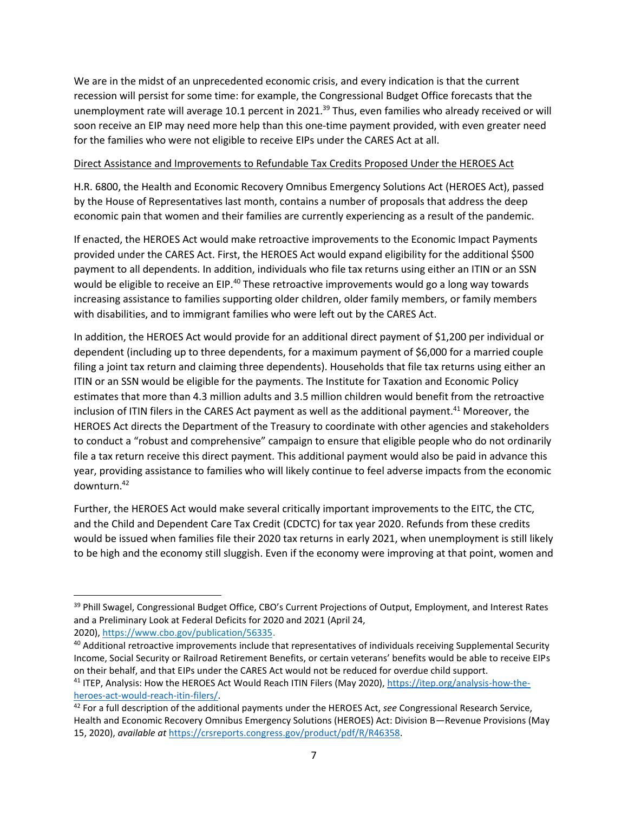We are in the midst of an unprecedented economic crisis, and every indication is that the current recession will persist for some time: for example, the Congressional Budget Office forecasts that the unemployment rate will average 10.1 percent in 2021.<sup>39</sup> Thus, even families who already received or will soon receive an EIP may need more help than this one-time payment provided, with even greater need for the families who were not eligible to receive EIPs under the CARES Act at all.

#### Direct Assistance and Improvements to Refundable Tax Credits Proposed Under the HEROES Act

H.R. 6800, the Health and Economic Recovery Omnibus Emergency Solutions Act (HEROES Act), passed by the House of Representatives last month, contains a number of proposals that address the deep economic pain that women and their families are currently experiencing as a result of the pandemic.

If enacted, the HEROES Act would make retroactive improvements to the Economic Impact Payments provided under the CARES Act. First, the HEROES Act would expand eligibility for the additional \$500 payment to all dependents. In addition, individuals who file tax returns using either an ITIN or an SSN would be eligible to receive an EIP.<sup>40</sup> These retroactive improvements would go a long way towards increasing assistance to families supporting older children, older family members, or family members with disabilities, and to immigrant families who were left out by the CARES Act.

In addition, the HEROES Act would provide for an additional direct payment of \$1,200 per individual or dependent (including up to three dependents, for a maximum payment of \$6,000 for a married couple filing a joint tax return and claiming three dependents). Households that file tax returns using either an ITIN or an SSN would be eligible for the payments. The Institute for Taxation and Economic Policy estimates that more than 4.3 million adults and 3.5 million children would benefit from the retroactive inclusion of ITIN filers in the CARES Act payment as well as the additional payment.<sup>41</sup> Moreover, the HEROES Act directs the Department of the Treasury to coordinate with other agencies and stakeholders to conduct a "robust and comprehensive" campaign to ensure that eligible people who do not ordinarily file a tax return receive this direct payment. This additional payment would also be paid in advance this year, providing assistance to families who will likely continue to feel adverse impacts from the economic downturn.<sup>42</sup>

Further, the HEROES Act would make several critically important improvements to the EITC, the CTC, and the Child and Dependent Care Tax Credit (CDCTC) for tax year 2020. Refunds from these credits would be issued when families file their 2020 tax returns in early 2021, when unemployment is still likely to be high and the economy still sluggish. Even if the economy were improving at that point, women and

<sup>&</sup>lt;sup>39</sup> Phill Swagel, Congressional Budget Office, CBO's Current Projections of Output, Employment, and Interest Rates and a Preliminary Look at Federal Deficits for 2020 and 2021 (April 24, 2020), <https://www.cbo.gov/publication/56335>.

<sup>&</sup>lt;sup>40</sup> Additional retroactive improvements include that representatives of individuals receiving Supplemental Security Income, Social Security or Railroad Retirement Benefits, or certain veterans' benefits would be able to receive EIPs on their behalf, and that EIPs under the CARES Act would not be reduced for overdue child support.

<sup>41</sup> ITEP, Analysis: How the HEROES Act Would Reach ITIN Filers (May 2020), [https://itep.org/analysis-how-the](https://itep.org/analysis-how-the-heroes-act-would-reach-itin-filers/)[heroes-act-would-reach-itin-filers/.](https://itep.org/analysis-how-the-heroes-act-would-reach-itin-filers/)

<sup>42</sup> For a full description of the additional payments under the HEROES Act, *see* Congressional Research Service, Health and Economic Recovery Omnibus Emergency Solutions (HEROES) Act: Division B—Revenue Provisions (May 15, 2020), *available at* [https://crsreports.congress.gov/product/pdf/R/R46358.](https://crsreports.congress.gov/product/pdf/R/R46358)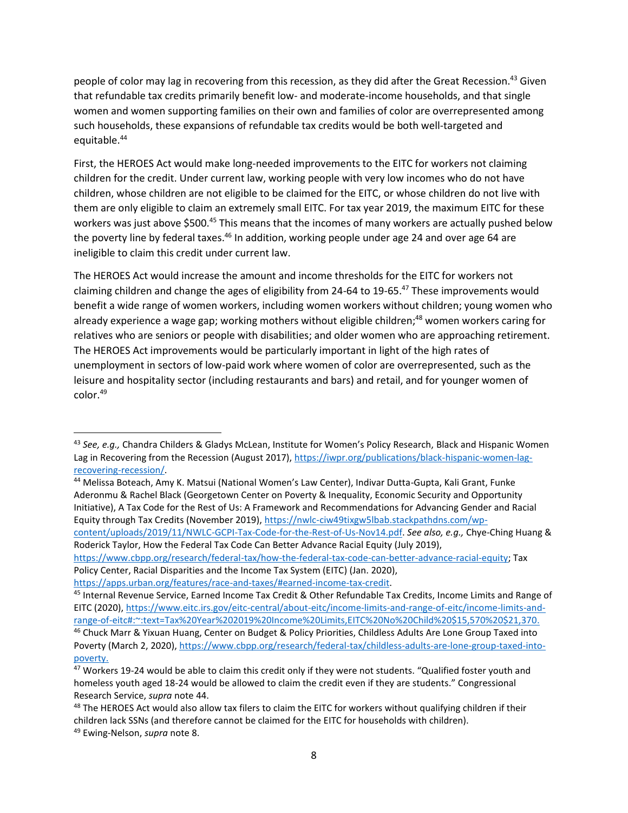people of color may lag in recovering from this recession, as they did after the Great Recession.<sup>43</sup> Given that refundable tax credits primarily benefit low- and moderate-income households, and that single women and women supporting families on their own and families of color are overrepresented among such households, these expansions of refundable tax credits would be both well-targeted and equitable. 44

First, the HEROES Act would make long-needed improvements to the EITC for workers not claiming children for the credit. Under current law, working people with very low incomes who do not have children, whose children are not eligible to be claimed for the EITC, or whose children do not live with them are only eligible to claim an extremely small EITC. For tax year 2019, the maximum EITC for these workers was just above \$500.45 This means that the incomes of many workers are actually pushed below the poverty line by federal taxes.<sup>46</sup> In addition, working people under age 24 and over age 64 are ineligible to claim this credit under current law.

The HEROES Act would increase the amount and income thresholds for the EITC for workers not claiming children and change the ages of eligibility from 24-64 to 19-65.<sup>47</sup> These improvements would benefit a wide range of women workers, including women workers without children; young women who already experience a wage gap; working mothers without eligible children;<sup>48</sup> women workers caring for relatives who are seniors or people with disabilities; and older women who are approaching retirement. The HEROES Act improvements would be particularly important in light of the high rates of unemployment in sectors of low-paid work where women of color are overrepresented, such as the leisure and hospitality sector (including restaurants and bars) and retail, and for younger women of color. 49

<sup>43</sup> *See, e.g.,* Chandra Childers & Gladys McLean, Institute for Women's Policy Research, Black and Hispanic Women Lag in Recovering from the Recession (August 2017), [https://iwpr.org/publications/black-hispanic-women-lag](https://iwpr.org/publications/black-hispanic-women-lag-recovering-recession/)[recovering-recession/.](https://iwpr.org/publications/black-hispanic-women-lag-recovering-recession/)

<sup>44</sup> Melissa Boteach, Amy K. Matsui (National Women's Law Center), Indivar Dutta-Gupta, Kali Grant, Funke Aderonmu & Rachel Black (Georgetown Center on Poverty & Inequality, Economic Security and Opportunity Initiative), A Tax Code for the Rest of Us: A Framework and Recommendations for Advancing Gender and Racial Equity through Tax Credits (November 2019), [https://nwlc-ciw49tixgw5lbab.stackpathdns.com/wp](https://nwlc-ciw49tixgw5lbab.stackpathdns.com/wp-content/uploads/2019/11/NWLC-GCPI-Tax-Code-for-the-Rest-of-Us-Nov14.pdf)[content/uploads/2019/11/NWLC-GCPI-Tax-Code-for-the-Rest-of-Us-Nov14.pdf.](https://nwlc-ciw49tixgw5lbab.stackpathdns.com/wp-content/uploads/2019/11/NWLC-GCPI-Tax-Code-for-the-Rest-of-Us-Nov14.pdf) *See also, e.g.,* Chye-Ching Huang & Roderick Taylor, How the Federal Tax Code Can Better Advance Racial Equity (July 2019),

[https://www.cbpp.org/research/federal-tax/how-the-federal-tax-code-can-better-advance-racial-equity;](https://www.cbpp.org/research/federal-tax/how-the-federal-tax-code-can-better-advance-racial-equity) Tax Policy Center, Racial Disparities and the Income Tax System (EITC) (Jan. 2020),

[https://apps.urban.org/features/race-and-taxes/#earned-income-tax-credit.](https://apps.urban.org/features/race-and-taxes/#earned-income-tax-credit)

<sup>45</sup> Internal Revenue Service, Earned Income Tax Credit & Other Refundable Tax Credits, Income Limits and Range of EITC (2020), [https://www.eitc.irs.gov/eitc-central/about-eitc/income-limits-and-range-of-eitc/income-limits-and](https://www.eitc.irs.gov/eitc-central/about-eitc/income-limits-and-range-of-eitc/income-limits-and-range-of-eitc#:~:text=Tax%20Year%202019%20Income%20Limits,EITC%20No%20Child%20$15,570%20$21,370)[range-of-eitc#:~:text=Tax%20Year%202019%20Income%20Limits,EITC%20No%20Child%20\\$15,570%20\\$21,370.](https://www.eitc.irs.gov/eitc-central/about-eitc/income-limits-and-range-of-eitc/income-limits-and-range-of-eitc#:~:text=Tax%20Year%202019%20Income%20Limits,EITC%20No%20Child%20$15,570%20$21,370)

<sup>&</sup>lt;sup>46</sup> Chuck Marr & Yixuan Huang, Center on Budget & Policy Priorities, Childless Adults Are Lone Group Taxed into Poverty (March 2, 2020), [https://www.cbpp.org/research/federal-tax/childless-adults-are-lone-group-taxed-into](https://www.cbpp.org/research/federal-tax/childless-adults-are-lone-group-taxed-into-poverty)[poverty.](https://www.cbpp.org/research/federal-tax/childless-adults-are-lone-group-taxed-into-poverty)

<sup>&</sup>lt;sup>47</sup> Workers 19-24 would be able to claim this credit only if they were not students. "Qualified foster youth and homeless youth aged 18-24 would be allowed to claim the credit even if they are students." Congressional Research Service, *supra* note 44.

<sup>&</sup>lt;sup>48</sup> The HEROES Act would also allow tax filers to claim the EITC for workers without qualifying children if their children lack SSNs (and therefore cannot be claimed for the EITC for households with children).

<sup>49</sup> Ewing-Nelson, *supra* note 8.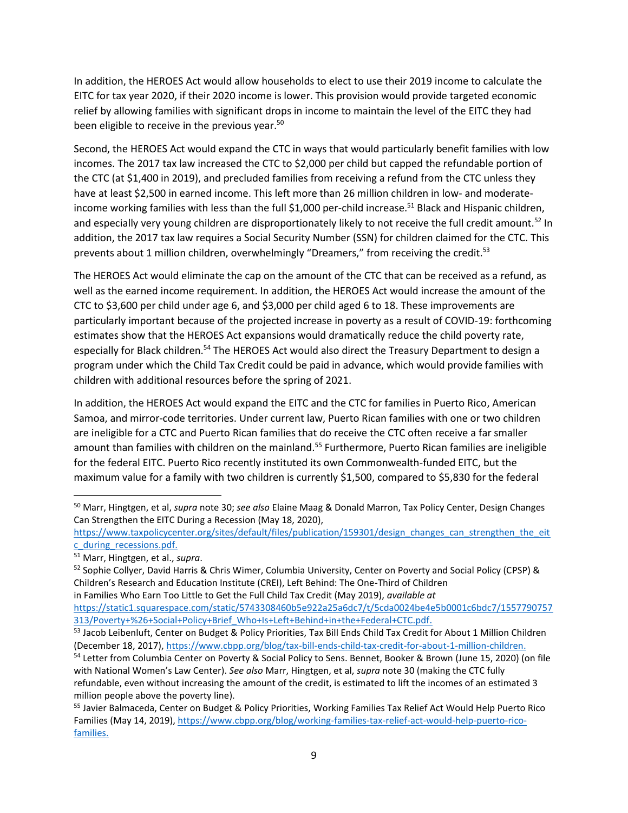In addition, the HEROES Act would allow households to elect to use their 2019 income to calculate the EITC for tax year 2020, if their 2020 income is lower. This provision would provide targeted economic relief by allowing families with significant drops in income to maintain the level of the EITC they had been eligible to receive in the previous year.<sup>50</sup>

Second, the HEROES Act would expand the CTC in ways that would particularly benefit families with low incomes. The 2017 tax law increased the CTC to \$2,000 per child but capped the refundable portion of the CTC (at \$1,400 in 2019), and precluded families from receiving a refund from the CTC unless they have at least \$2,500 in earned income. This left more than 26 million children in low- and moderateincome working families with less than the full \$1,000 per-child increase.<sup>51</sup> Black and Hispanic children, and especially very young children are disproportionately likely to not receive the full credit amount.<sup>52</sup> In addition, the 2017 tax law requires a Social Security Number (SSN) for children claimed for the CTC. This prevents about 1 million children, overwhelmingly "Dreamers," from receiving the credit.<sup>53</sup>

The HEROES Act would eliminate the cap on the amount of the CTC that can be received as a refund, as well as the earned income requirement. In addition, the HEROES Act would increase the amount of the CTC to \$3,600 per child under age 6, and \$3,000 per child aged 6 to 18. These improvements are particularly important because of the projected increase in poverty as a result of COVID-19: forthcoming estimates show that the HEROES Act expansions would dramatically reduce the child poverty rate, especially for Black children.<sup>54</sup> The HEROES Act would also direct the Treasury Department to design a program under which the Child Tax Credit could be paid in advance, which would provide families with children with additional resources before the spring of 2021.

In addition, the HEROES Act would expand the EITC and the CTC for families in Puerto Rico, American Samoa, and mirror-code territories. Under current law, Puerto Rican families with one or two children are ineligible for a CTC and Puerto Rican families that do receive the CTC often receive a far smaller amount than families with children on the mainland.<sup>55</sup> Furthermore, Puerto Rican families are ineligible for the federal EITC. Puerto Rico recently instituted its own Commonwealth-funded EITC, but the maximum value for a family with two children is currently \$1,500, compared to \$5,830 for the federal

[https://www.taxpolicycenter.org/sites/default/files/publication/159301/design\\_changes\\_can\\_strengthen\\_the\\_eit](https://www.taxpolicycenter.org/sites/default/files/publication/159301/design_changes_can_strengthen_the_eitc_during_recessions.pdf) [c\\_during\\_recessions.pdf.](https://www.taxpolicycenter.org/sites/default/files/publication/159301/design_changes_can_strengthen_the_eitc_during_recessions.pdf)

<sup>50</sup> Marr, Hingtgen, et al, *supra* note 30; *see also* Elaine Maag & Donald Marron, Tax Policy Center, Design Changes Can Strengthen the EITC During a Recession (May 18, 2020),

<sup>51</sup> Marr, Hingtgen, et al., *supra*.

<sup>52</sup> Sophie Collyer, David Harris & Chris Wimer, Columbia University, Center on Poverty and Social Policy (CPSP) & Children's Research and Education Institute (CREI), Left Behind: The One-Third of Children in Families Who Earn Too Little to Get the Full Child Tax Credit (May 2019), *available at* 

[https://static1.squarespace.com/static/5743308460b5e922a25a6dc7/t/5cda0024be4e5b0001c6bdc7/1557790757](https://static1.squarespace.com/static/5743308460b5e922a25a6dc7/t/5cda0024be4e5b0001c6bdc7/1557790757313/Poverty+%26+Social+Policy+Brief_Who+Is+Left+Behind+in+the+Federal+CTC.pdf) [313/Poverty+%26+Social+Policy+Brief\\_Who+Is+Left+Behind+in+the+Federal+CTC.pdf.](https://static1.squarespace.com/static/5743308460b5e922a25a6dc7/t/5cda0024be4e5b0001c6bdc7/1557790757313/Poverty+%26+Social+Policy+Brief_Who+Is+Left+Behind+in+the+Federal+CTC.pdf)

<sup>&</sup>lt;sup>53</sup> Jacob Leibenluft, Center on Budget & Policy Priorities, Tax Bill Ends Child Tax Credit for About 1 Million Children (December 18, 2017), [https://www.cbpp.org/blog/tax-bill-ends-child-tax-credit-for-about-1-million-children.](https://www.cbpp.org/blog/tax-bill-ends-child-tax-credit-for-about-1-million-children)

<sup>54</sup> Letter from Columbia Center on Poverty & Social Policy to Sens. Bennet, Booker & Brown (June 15, 2020) (on file with National Women's Law Center). *See also* Marr, Hingtgen, et al, *supra* note 30 (making the CTC fully refundable, even without increasing the amount of the credit, is estimated to lift the incomes of an estimated 3 million people above the poverty line).

<sup>&</sup>lt;sup>55</sup> Javier Balmaceda, Center on Budget & Policy Priorities, Working Families Tax Relief Act Would Help Puerto Rico Families (May 14, 2019)[, https://www.cbpp.org/blog/working-families-tax-relief-act-would-help-puerto-rico](https://www.cbpp.org/blog/working-families-tax-relief-act-would-help-puerto-rico-families)[families.](https://www.cbpp.org/blog/working-families-tax-relief-act-would-help-puerto-rico-families)